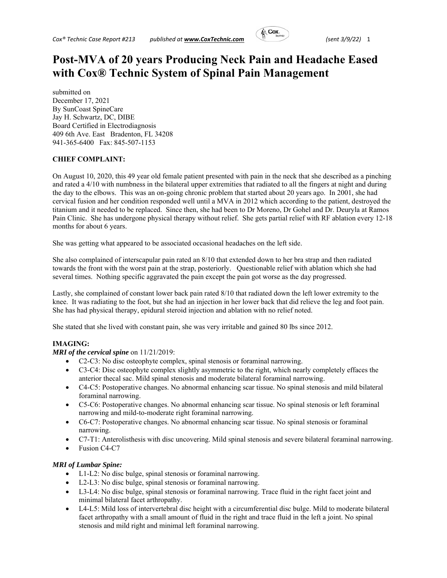

# **Post-MVA of 20 years Producing Neck Pain and Headache Eased with Cox® Technic System of Spinal Pain Management**

submitted on December 17, 2021 By SunCoast SpineCare Jay H. Schwartz, DC, DIBE Board Certified in Electrodiagnosis 409 6th Ave. East Bradenton, FL 34208 941-365-6400 Fax: 845-507-1153

## **CHIEF COMPLAINT:**

On August 10, 2020, this 49 year old female patient presented with pain in the neck that she described as a pinching and rated a 4/10 with numbness in the bilateral upper extremities that radiated to all the fingers at night and during the day to the elbows. This was an on-going chronic problem that started about 20 years ago. In 2001, she had cervical fusion and her condition responded well until a MVA in 2012 which according to the patient, destroyed the titanium and it needed to be replaced. Since then, she had been to Dr Moreno, Dr Gohel and Dr. Deuryla at Ramos Pain Clinic. She has undergone physical therapy without relief. She gets partial relief with RF ablation every 12-18 months for about 6 years.

She was getting what appeared to be associated occasional headaches on the left side.

She also complained of interscapular pain rated an 8/10 that extended down to her bra strap and then radiated towards the front with the worst pain at the strap, posteriorly. Questionable relief with ablation which she had several times. Nothing specific aggravated the pain except the pain got worse as the day progressed.

Lastly, she complained of constant lower back pain rated 8/10 that radiated down the left lower extremity to the knee. It was radiating to the foot, but she had an injection in her lower back that did relieve the leg and foot pain. She has had physical therapy, epidural steroid injection and ablation with no relief noted.

She stated that she lived with constant pain, she was very irritable and gained 80 lbs since 2012.

# **IMAGING:**

### *MRI of the cervical spine* on 11/21/2019:

- C2-C3: No disc osteophyte complex, spinal stenosis or foraminal narrowing.
- C3-C4: Disc osteophyte complex slightly asymmetric to the right, which nearly completely effaces the anterior thecal sac. Mild spinal stenosis and moderate bilateral foraminal narrowing.
- C4-C5: Postoperative changes. No abnormal enhancing scar tissue. No spinal stenosis and mild bilateral foraminal narrowing.
- C5-C6: Postoperative changes. No abnormal enhancing scar tissue. No spinal stenosis or left foraminal narrowing and mild-to-moderate right foraminal narrowing.
- C6-C7: Postoperative changes. No abnormal enhancing scar tissue. No spinal stenosis or foraminal narrowing.
- C7-T1: Anterolisthesis with disc uncovering. Mild spinal stenosis and severe bilateral foraminal narrowing.
- Fusion C4-C7

### *MRI of Lumbar Spine:*

- L1-L2: No disc bulge, spinal stenosis or foraminal narrowing.
- L2-L3: No disc bulge, spinal stenosis or foraminal narrowing.
- L3-L4: No disc bulge, spinal stenosis or foraminal narrowing. Trace fluid in the right facet joint and minimal bilateral facet arthropathy.
- L4-L5: Mild loss of intervertebral disc height with a circumferential disc bulge. Mild to moderate bilateral facet arthropathy with a small amount of fluid in the right and trace fluid in the left a joint. No spinal stenosis and mild right and minimal left foraminal narrowing.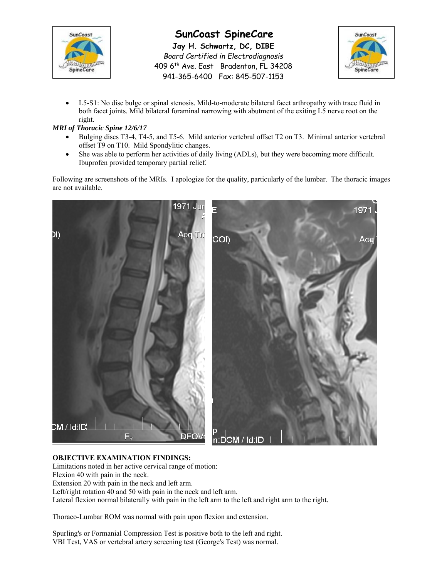

# **SunCoast SpineCare**

**Jay H. Schwartz, DC, DIBE**  *Board Certified in Electrodiagnosis*  409 6<sup>th</sup> Ave. East Bradenton, FL 34208 941-365-6400 Fax: 845-507-1153



 L5-S1: No disc bulge or spinal stenosis. Mild-to-moderate bilateral facet arthropathy with trace fluid in both facet joints. Mild bilateral foraminal narrowing with abutment of the exiting L5 nerve root on the right.

# *MRI of Thoracic Spine 12/6/17*

- Bulging discs T3-4, T4-5, and T5-6. Mild anterior vertebral offset T2 on T3. Minimal anterior vertebral offset T9 on T10. Mild Spondylitic changes.
- She was able to perform her activities of daily living (ADLs), but they were becoming more difficult. Ibuprofen provided temporary partial relief.

Following are screenshots of the MRIs. I apologize for the quality, particularly of the lumbar. The thoracic images are not available.



# **OBJECTIVE EXAMINATION FINDINGS:**

Limitations noted in her active cervical range of motion: Flexion 40 with pain in the neck. Extension 20 with pain in the neck and left arm. Left/right rotation 40 and 50 with pain in the neck and left arm. Lateral flexion normal bilaterally with pain in the left arm to the left and right arm to the right.

Thoraco-Lumbar ROM was normal with pain upon flexion and extension.

Spurling's or Formanial Compression Test is positive both to the left and right. VBI Test, VAS or vertebral artery screening test (George's Test) was normal.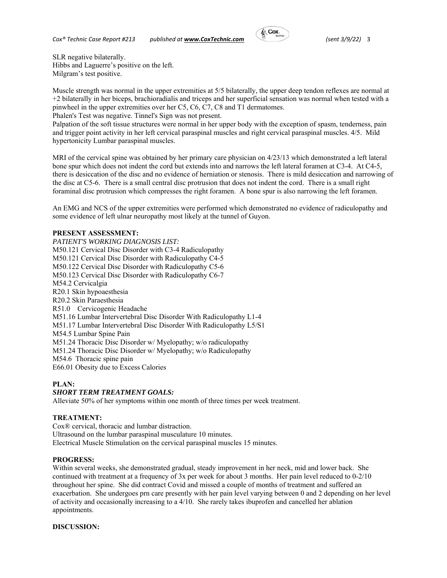

SLR negative bilaterally. Hibbs and Laguerre's positive on the left. Milgram's test positive.

Muscle strength was normal in the upper extremities at 5/5 bilaterally, the upper deep tendon reflexes are normal at +2 bilaterally in her biceps, brachioradialis and triceps and her superficial sensation was normal when tested with a pinwheel in the upper extremities over her C5, C6, C7, C8 and T1 dermatomes.

Phalen's Test was negative. Tinnel's Sign was not present.

Palpation of the soft tissue structures were normal in her upper body with the exception of spasm, tenderness, pain and trigger point activity in her left cervical paraspinal muscles and right cervical paraspinal muscles. 4/5. Mild hypertonicity Lumbar paraspinal muscles.

MRI of the cervical spine was obtained by her primary care physician on 4/23/13 which demonstrated a left lateral bone spur which does not indent the cord but extends into and narrows the left lateral foramen at C3-4. At C4-5, there is desiccation of the disc and no evidence of herniation or stenosis. There is mild desiccation and narrowing of the disc at C5-6. There is a small central disc protrusion that does not indent the cord. There is a small right foraminal disc protrusion which compresses the right foramen. A bone spur is also narrowing the left foramen.

An EMG and NCS of the upper extremities were performed which demonstrated no evidence of radiculopathy and some evidence of left ulnar neuropathy most likely at the tunnel of Guyon.

## **PRESENT ASSESSMENT:**

*PATIENT'S WORKING DIAGNOSIS LIST:*  M50.121 Cervical Disc Disorder with C3-4 Radiculopathy M50.121 Cervical Disc Disorder with Radiculopathy C4-5 M50.122 Cervical Disc Disorder with Radiculopathy C5-6 M50.123 Cervical Disc Disorder with Radiculopathy C6-7 M54.2 Cervicalgia R20.1 Skin hypoaesthesia R20.2 Skin Paraesthesia R51.0 Cervicogenic Headache M51.16 Lumbar Intervertebral Disc Disorder With Radiculopathy L1-4 M51.17 Lumbar Intervertebral Disc Disorder With Radiculopathy L5/S1 M54.5 Lumbar Spine Pain M51.24 Thoracic Disc Disorder w/ Myelopathy; w/o radiculopathy M51.24 Thoracic Disc Disorder w/ Myelopathy; w/o Radiculopathy M54.6 Thoracic spine pain E66.01 Obesity due to Excess Calories

### **PLAN:**

### *SHORT TERM TREATMENT GOALS:*

Alleviate 50% of her symptoms within one month of three times per week treatment.

### **TREATMENT:**

Cox® cervical, thoracic and lumbar distraction. Ultrasound on the lumbar paraspinal musculature 10 minutes. Electrical Muscle Stimulation on the cervical paraspinal muscles 15 minutes.

### **PROGRESS:**

Within several weeks, she demonstrated gradual, steady improvement in her neck, mid and lower back. She continued with treatment at a frequency of 3x per week for about 3 months. Her pain level reduced to 0-2/10 throughout her spine. She did contract Covid and missed a couple of months of treatment and suffered an exacerbation. She undergoes prn care presently with her pain level varying between 0 and 2 depending on her level of activity and occasionally increasing to a 4/10. She rarely takes ibuprofen and cancelled her ablation appointments.

### **DISCUSSION:**